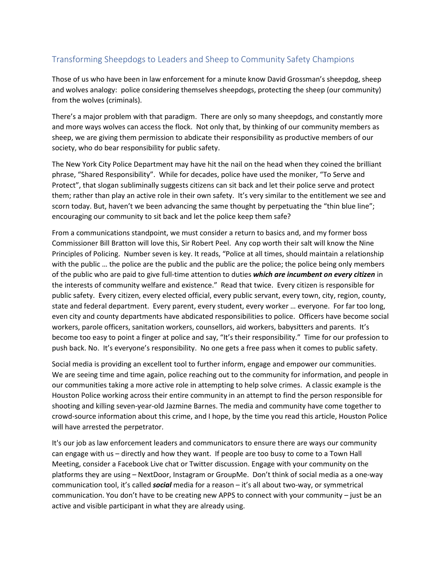## Transforming Sheepdogs to Leaders and Sheep to Community Safety Champions

Those of us who have been in law enforcement for a minute know David Grossman's sheepdog, sheep and wolves analogy: police considering themselves sheepdogs, protecting the sheep (our community) from the wolves (criminals).

There's a major problem with that paradigm. There are only so many sheepdogs, and constantly more and more ways wolves can access the flock. Not only that, by thinking of our community members as sheep, we are giving them permission to abdicate their responsibility as productive members of our society, who do bear responsibility for public safety.

The New York City Police Department may have hit the nail on the head when they coined the brilliant phrase, "Shared Responsibility". While for decades, police have used the moniker, "To Serve and Protect", that slogan subliminally suggests citizens can sit back and let their police serve and protect them; rather than play an active role in their own safety. It's very similar to the entitlement we see and scorn today. But, haven't we been advancing the same thought by perpetuating the "thin blue line"; encouraging our community to sit back and let the police keep them safe?

From a communications standpoint, we must consider a return to basics and, and my former boss Commissioner Bill Bratton will love this, Sir Robert Peel. Any cop worth their salt will know the Nine Principles of Policing. Number seven is key. It reads, "Police at all times, should maintain a relationship with the public … the police are the public and the public are the police; the police being only members of the public who are paid to give full-time attention to duties *which are incumbent on every citizen* in the interests of community welfare and existence." Read that twice. Every citizen is responsible for public safety. Every citizen, every elected official, every public servant, every town, city, region, county, state and federal department. Every parent, every student, every worker … everyone. For far too long, even city and county departments have abdicated responsibilities to police. Officers have become social workers, parole officers, sanitation workers, counsellors, aid workers, babysitters and parents. It's become too easy to point a finger at police and say, "It's their responsibility." Time for our profession to push back. No. It's everyone's responsibility. No one gets a free pass when it comes to public safety.

Social media is providing an excellent tool to further inform, engage and empower our communities. We are seeing time and time again, police reaching out to the community for information, and people in our communities taking a more active role in attempting to help solve crimes. A classic example is the Houston Police working across their entire community in an attempt to find the person responsible for shooting and killing seven-year-old Jazmine Barnes. The media and community have come together to crowd-source information about this crime, and I hope, by the time you read this article, Houston Police will have arrested the perpetrator.

It's our job as law enforcement leaders and communicators to ensure there are ways our community can engage with us – directly and how they want. If people are too busy to come to a Town Hall Meeting, consider a Facebook Live chat or Twitter discussion. Engage with your community on the platforms they are using – NextDoor, Instagram or GroupMe. Don't think of social media as a one-way communication tool, it's called *social* media for a reason – it's all about two-way, or symmetrical communication. You don't have to be creating new APPS to connect with your community – just be an active and visible participant in what they are already using.